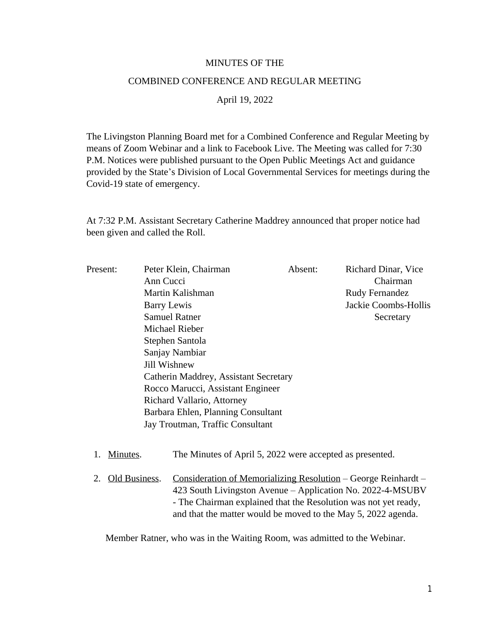## MINUTES OF THE

## COMBINED CONFERENCE AND REGULAR MEETING

April 19, 2022

The Livingston Planning Board met for a Combined Conference and Regular Meeting by means of Zoom Webinar and a link to Facebook Live. The Meeting was called for 7:30 P.M. Notices were published pursuant to the Open Public Meetings Act and guidance provided by the State's Division of Local Governmental Services for meetings during the Covid-19 state of emergency.

At 7:32 P.M. Assistant Secretary Catherine Maddrey announced that proper notice had been given and called the Roll.

| Present:            | Peter Klein, Chairman<br>Ann Cucci<br>Martin Kalishman<br><b>Barry Lewis</b><br><b>Samuel Ratner</b><br>Michael Rieber<br>Stephen Santola<br>Sanjay Nambiar<br>Jill Wishnew<br>Catherin Maddrey, Assistant Secretary<br>Rocco Marucci, Assistant Engineer<br>Richard Vallario, Attorney<br>Barbara Ehlen, Planning Consultant<br>Jay Troutman, Traffic Consultant |                                                          | Absent: | Richard Dinar, Vice<br>Chairman<br><b>Rudy Fernandez</b><br>Jackie Coombs-Hollis<br>Secretary                                                                                                                                                                           |
|---------------------|-------------------------------------------------------------------------------------------------------------------------------------------------------------------------------------------------------------------------------------------------------------------------------------------------------------------------------------------------------------------|----------------------------------------------------------|---------|-------------------------------------------------------------------------------------------------------------------------------------------------------------------------------------------------------------------------------------------------------------------------|
| Minutes.<br>1.      |                                                                                                                                                                                                                                                                                                                                                                   | The Minutes of April 5, 2022 were accepted as presented. |         |                                                                                                                                                                                                                                                                         |
| Old Business.<br>2. |                                                                                                                                                                                                                                                                                                                                                                   |                                                          |         | <u>Consideration of Memorializing Resolution</u> – George Reinhardt –<br>423 South Livingston Avenue – Application No. 2022-4-MSUBV<br>- The Chairman explained that the Resolution was not yet ready,<br>and that the matter would be moved to the May 5, 2022 agenda. |

Member Ratner, who was in the Waiting Room, was admitted to the Webinar.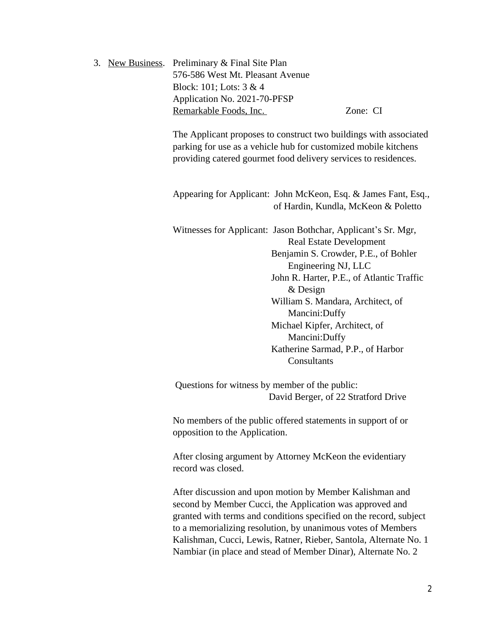|  | 3. New Business. Preliminary & Final Site Plan |          |
|--|------------------------------------------------|----------|
|  | 576-586 West Mt. Pleasant Avenue               |          |
|  | Block: 101; Lots: $3 & 4$                      |          |
|  | Application No. 2021-70-PFSP                   |          |
|  | Remarkable Foods, Inc.                         | Zone: CI |

The Applicant proposes to construct two buildings with associated parking for use as a vehicle hub for customized mobile kitchens providing catered gourmet food delivery services to residences.

Appearing for Applicant: John McKeon, Esq. & James Fant, Esq., of Hardin, Kundla, McKeon & Poletto

Witnesses for Applicant: Jason Bothchar, Applicant's Sr. Mgr, Real Estate Development Benjamin S. Crowder, P.E., of Bohler Engineering NJ, LLC John R. Harter, P.E., of Atlantic Traffic & Design William S. Mandara, Architect, of Mancini:Duffy Michael Kipfer, Architect, of Mancini:Duffy Katherine Sarmad, P.P., of Harbor **Consultants** 

Questions for witness by member of the public: David Berger, of 22 Stratford Drive

No members of the public offered statements in support of or opposition to the Application.

After closing argument by Attorney McKeon the evidentiary record was closed.

After discussion and upon motion by Member Kalishman and second by Member Cucci, the Application was approved and granted with terms and conditions specified on the record, subject to a memorializing resolution, by unanimous votes of Members Kalishman, Cucci, Lewis, Ratner, Rieber, Santola, Alternate No. 1 Nambiar (in place and stead of Member Dinar), Alternate No. 2